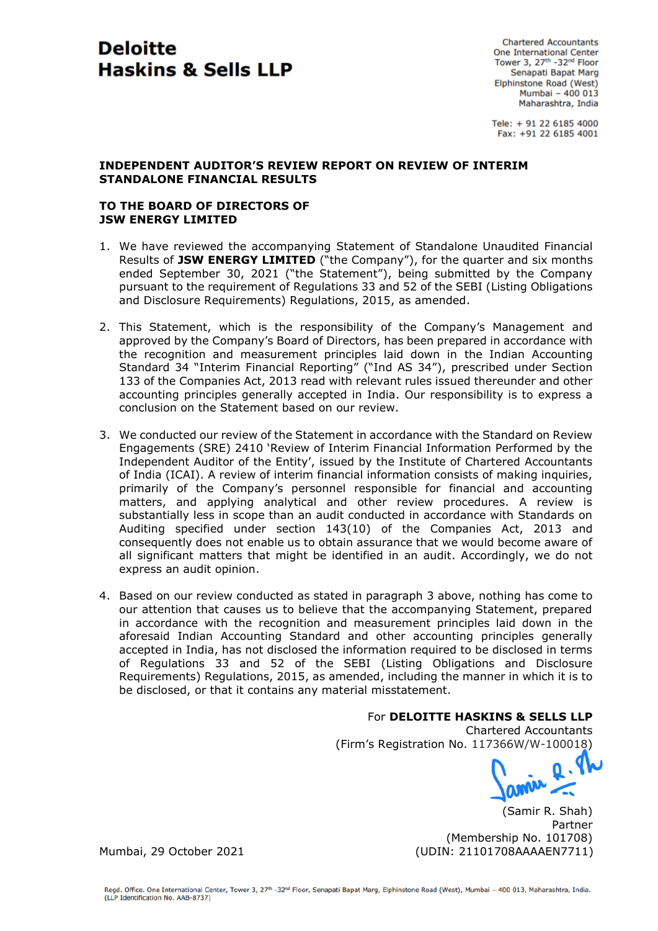# **Deloitte Haskins & Sells LLP**

**Chartered Accountants** One International Center Tower 3, 27th -32nd Floor Senapati Bapat Marg Elphinstone Road (West) Mumbai -  $400013$ Maharashtra, India

Tele: + 91 22 6185 4000 Fax: +91 22 6185 4001

## **INDEPENDENT AUDITOR'S REVIEW REPORT ON REVIEW OF INTERIM STANDALONE FINANCIAL RESULTS**

# **TO THE BOARD OF DIRECTORS OF JSW ENERGY LIMITED**

- 1. We have reviewed the accompanying Statement of Standalone Unaudited Financial Results of **JSW ENERGY LIMITED** ("the Company"), for the quarter and six months ended September 30, 2021 ("the Statement"), being submitted by the Company pursuant to the requirement of Regulations 33 and 52 of the SEBI (Listing Obligations and Disclosure Requirements) Regulations, 2015, as amended.
- 2. This Statement, which is the responsibility of the Company's Management and approved by the Company's Board of Directors, has been prepared in accordance with the recognition and measurement principles laid down in the Indian Accounting Standard 34 "Interim Financial Reporting" ("Ind AS 34"), prescribed under Section 133 of the Companies Act, 2013 read with relevant rules issued thereunder and other accounting principles generally accepted in India. Our responsibility is to express a conclusion on the Statement based on our review.
- 3. We conducted our review of the Statement in accordance with the Standard on Review Engagements (SRE) 2410 'Review of Interim Financial Information Performed by the Independent Auditor of the Entity', issued by the Institute of Chartered Accountants of India (ICAI). A review of interim financial information consists of making inquiries, primarily of the Company's personnel responsible for financial and accounting matters, and applying analytical and other review procedures. A review is substantially less in scope than an audit conducted in accordance with Standards on Auditing specified under section 143(10) of the Companies Act, 2013 and consequently does not enable us to obtain assurance that we would become aware of all significant matters that might be identified in an audit. Accordingly, we do not express an audit opinion.
- 4. Based on our review conducted as stated in paragraph 3 above, nothing has come to our attention that causes us to believe that the accompanying Statement, prepared in accordance with the recognition and measurement principles laid down in the aforesaid Indian Accounting Standard and other accounting principles generally accepted in India, has not disclosed the information required to be disclosed in terms of Regulations 33 and 52 of the SEBI (Listing Obligations and Disclosure Requirements) Regulations, 2015, as amended, including the manner in which it is to be disclosed, or that it contains any material misstatement.

# For **DELOITTE HASKINS & SELLS LLP**

Chartered Accountants

(Firm's Registration No. 117366W/W-100018)

(Samir R. Shah) Partner (Membership No. 101708) Mumbai, 29 October 2021 (UDIN: 21101708AAAAEN7711)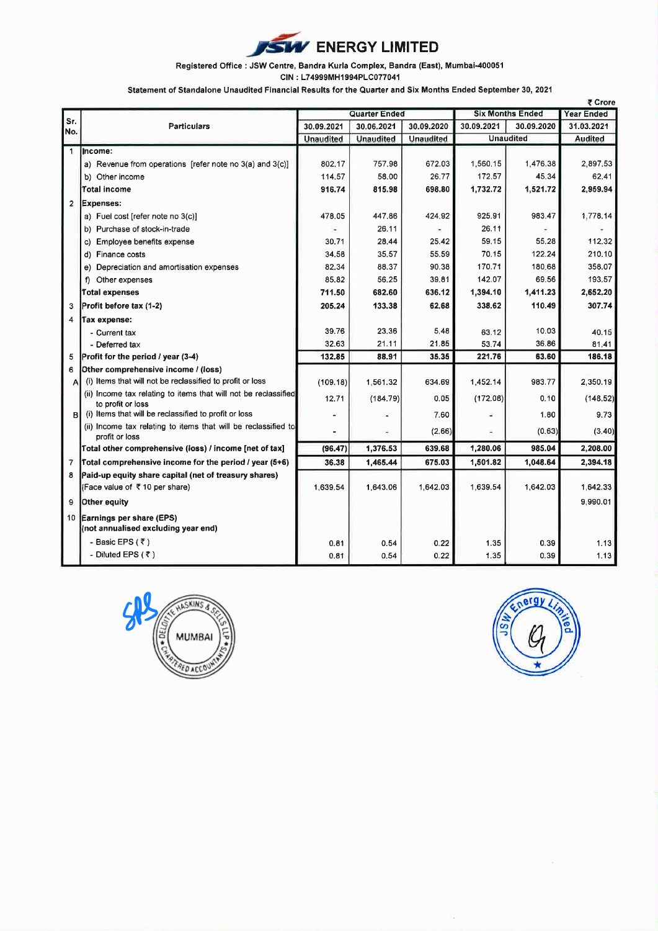

### Registered Office : JSW Centre, Bandra Kurla Complex, Bandra (East), Mumbai-400051

CIN: L74999MH1994PLC077041

Statement of Standalone Unaudited Financial Results for the Quarter and Six Months Ended September 30, 2021

|                |                                                                                      | <b>Quarter Ended</b> |                  |                  | <b>Six Months Ended</b> |                  | ९ ∪rore<br><b>Year Ended</b> |
|----------------|--------------------------------------------------------------------------------------|----------------------|------------------|------------------|-------------------------|------------------|------------------------------|
| Sr.<br>No.     | <b>Particulars</b>                                                                   | 30.09.2021           | 30.06.2021       | 30.09.2020       | 30.09.2021              | 30.09.2020       | 31.03.2021                   |
|                |                                                                                      | <b>Unaudited</b>     | <b>Unaudited</b> | <b>Unaudited</b> |                         | <b>Unaudited</b> | <b>Audited</b>               |
| $\mathbf{1}$   | Income:                                                                              |                      |                  |                  |                         |                  |                              |
|                | a) Revenue from operations [refer note no 3(a) and 3(c)]                             | 802.17               | 757.98           | 672.03           | 1,560,15                | 1,476.38         | 2,897.53                     |
|                | b) Other income                                                                      | 114.57               | 58.00            | 26.77            | 172.57                  | 45.34            | 62.41                        |
|                | <b>Total income</b>                                                                  | 916,74               | 815.98           | 698.80           | 1,732.72                | 1,521.72         | 2,959.94                     |
| $\overline{2}$ | Expenses:                                                                            |                      |                  |                  |                         |                  |                              |
|                | a) Fuel cost [refer note no 3(c)]                                                    | 478.05               | 447.86           | 424.92           | 925.91                  | 983.47           | 1.778.14                     |
|                | b) Purchase of stock-in-trade                                                        | ۰                    | 26.11            |                  | 26.11                   |                  |                              |
|                | c) Employee benefits expense                                                         | 30.71                | 28.44            | 25.42            | 59.15                   | 55.28            | 112.32                       |
|                | d) Finance costs                                                                     | 34.58                | 35.57            | 55.59            | 70.15                   | 122.24           | 210.10                       |
|                | e) Depreciation and amortisation expenses                                            | 82.34                | 88.37            | 90.38            | 170.71                  | 180,68           | 358.07                       |
|                | Other expenses<br>f)                                                                 | 85.82                | 56.25            | 39.81            | 142.07                  | 69.56            | 193.57                       |
|                | <b>Total expenses</b>                                                                | 711.50               | 682.60           | 636.12           | 1,394.10                | 1,411.23         | 2,652.20                     |
| 3              | Profit before tax (1-2)                                                              | 205.24               | 133.38           | 62.68            | 338.62                  | 110.49           | 307.74                       |
| 4              | Tax expense:                                                                         |                      |                  |                  |                         |                  |                              |
|                | - Current tax                                                                        | 39.76                | 23.36            | 5.48             | 63.12                   | 10.03            | 40.15                        |
|                | - Deferred tax                                                                       | 32.63                | 21.11            | 21.85            | 53.74                   | 36.86            | 81.41                        |
| 5              | Profit for the period / year (3-4)                                                   | 132.85               | 88.91            | 35.35            | 221,76                  | 63.60            | 186.18                       |
| 6              | Other comprehensive income / (loss)                                                  |                      |                  |                  |                         |                  |                              |
| Al             | (i) Items that will not be reclassified to profit or loss                            | (109.18)             | 1,561.32         | 634.69           | 1.452.14                | 983.77           | 2.350.19                     |
|                | (ii) Income tax relating to items that will not be reclassified<br>to profit or loss | 12.71                | (184.79)         | 0.05             | (172.08)                | 0.10             | (148.52)                     |
| вІ             | (i) Items that will be reclassified to profit or loss                                |                      |                  | 7.60             |                         | 1.80             | 9.73                         |
|                | (ii) Income tax relating to items that will be reclassified to<br>profit or loss     |                      | ÷                | (2.66)           |                         | (0.63)           | (3.40)                       |
|                | Total other comprehensive (loss) / income [net of tax]                               | (96.47)              | 1,376.53         | 639.68           | 1,280.06                | 985.04           | 2,208.00                     |
| 7              | Total comprehensive income for the period / year (5+6)                               | 36.38                | 1,465.44         | 675.03           | 1,501.82                | 1,048.64         | 2,394.18                     |
| 8              | Paid-up equity share capital (net of treasury shares)                                |                      |                  |                  |                         |                  |                              |
|                | (Face value of ₹10 per share)                                                        | 1,639.54             | 1.643.06         | 1,642.03         | 1.639.54                | 1.642.03         | 1,642.33                     |
| 9              | Other equity                                                                         |                      |                  |                  |                         |                  | 9,990.01                     |
| 10             | Earnings per share (EPS)<br>(not annualised excluding year end)                      |                      |                  |                  |                         |                  |                              |
|                | - Basic EPS (₹)                                                                      | 0.81                 | 0.54             | 0.22             | 1.35                    | 0.39             | 1.13                         |
|                | - Diluted EPS $(7)$                                                                  | 0.81                 | 0.54             | 0.22             | 1.35                    | 0.39             | 1.13                         |



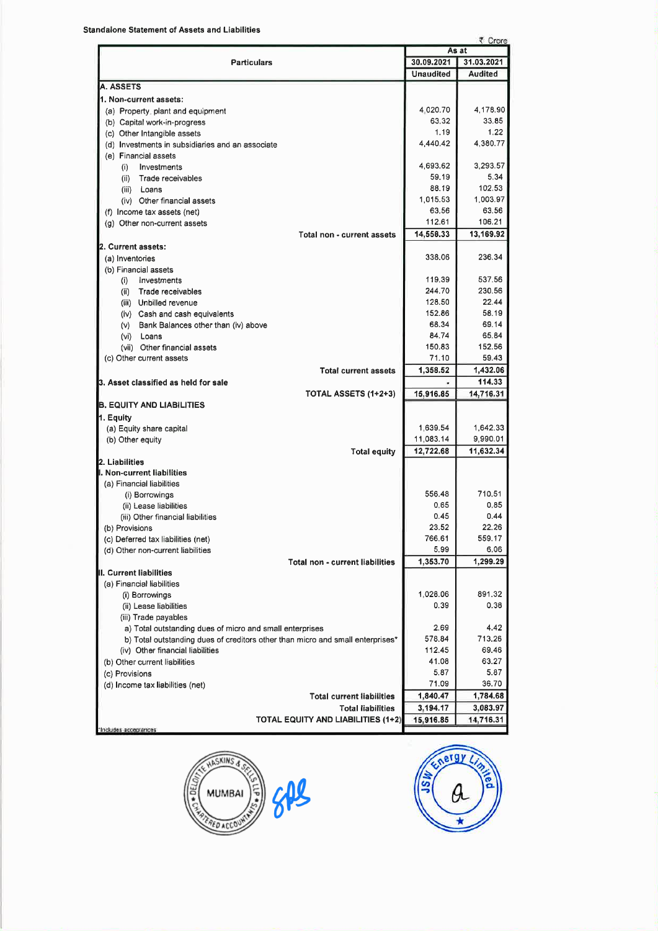| ₹ Crore                                                                        |                       |                       |  |  |  |  |  |  |
|--------------------------------------------------------------------------------|-----------------------|-----------------------|--|--|--|--|--|--|
|                                                                                | As at                 |                       |  |  |  |  |  |  |
| <b>Particulars</b>                                                             | 30.09.2021            | 31.03.2021            |  |  |  |  |  |  |
|                                                                                | <b>Unaudited</b>      | Audited               |  |  |  |  |  |  |
| <b>A. ASSETS</b>                                                               |                       |                       |  |  |  |  |  |  |
| 1. Non-current assets:                                                         |                       |                       |  |  |  |  |  |  |
| (a) Property, plant and equipment                                              | 4.020.70              | 4,178.90              |  |  |  |  |  |  |
| (b) Capital work-in-progress                                                   | 63.32                 | 33.85                 |  |  |  |  |  |  |
| (c) Other Intangible assets                                                    | 1.19                  | 1.22                  |  |  |  |  |  |  |
| (d) Investments in subsidiaries and an associate                               | 4,440.42              | 4,380.77              |  |  |  |  |  |  |
| (e) Financial assets                                                           |                       |                       |  |  |  |  |  |  |
| Investments<br>(i)                                                             | 4.693.62              | 3,293.57              |  |  |  |  |  |  |
| Trade receivables<br>(ii)                                                      | 59.19                 | 5.34                  |  |  |  |  |  |  |
| Loans<br>(iii)                                                                 | 88.19                 | 102.53                |  |  |  |  |  |  |
| (iv) Other financial assets                                                    | 1,015.53              | 1,003.97              |  |  |  |  |  |  |
| (f) Income tax assets (net)                                                    | 63.56                 | 63.56                 |  |  |  |  |  |  |
| (g) Other non-current assets                                                   | 112.61                | 106.21                |  |  |  |  |  |  |
| Total non - current assets                                                     | 14,558.33             | 13,169.92             |  |  |  |  |  |  |
| 2. Current assets:                                                             |                       |                       |  |  |  |  |  |  |
| (a) Inventories                                                                | 338.06                | 236.34                |  |  |  |  |  |  |
| (b) Financial assets                                                           |                       |                       |  |  |  |  |  |  |
| Investments<br>(i)                                                             | 119.39                | 537.56                |  |  |  |  |  |  |
| Trade receivables<br>(ii)                                                      | 244.70                | 230.56                |  |  |  |  |  |  |
| (iii) Unbilled revenue                                                         | 128.50                | 22.44                 |  |  |  |  |  |  |
| (iv) Cash and cash equivalents                                                 | 152.86                | 58.19                 |  |  |  |  |  |  |
| Bank Balances other than (iv) above<br>(v)                                     | 68.34                 | 69.14                 |  |  |  |  |  |  |
| (vi)<br>Loans                                                                  | 84.74                 | 65.84                 |  |  |  |  |  |  |
| (vii) Other financial assets                                                   | 150.83                | 152.56                |  |  |  |  |  |  |
| (c) Other current assets                                                       | 71.10                 | 59.43                 |  |  |  |  |  |  |
| <b>Total current assets</b>                                                    | 1,358.52              | 1,432.06              |  |  |  |  |  |  |
| 3. Asset classified as held for sale                                           |                       | 114,33                |  |  |  |  |  |  |
| TOTAL ASSETS (1+2+3)                                                           | 15,916.85             | 14,716.31             |  |  |  |  |  |  |
| <b>B. EQUITY AND LIABILITIES</b>                                               |                       |                       |  |  |  |  |  |  |
| 1. Equity                                                                      |                       |                       |  |  |  |  |  |  |
| (a) Equity share capital                                                       | 1,639.54              | 1,642.33              |  |  |  |  |  |  |
| (b) Other equity                                                               | 11,083.14             | 9,990.01              |  |  |  |  |  |  |
| <b>Total equity</b><br>2. Liabilities                                          | 12,722.68             | 11,632.34             |  |  |  |  |  |  |
| I. Non-current liabilities                                                     |                       |                       |  |  |  |  |  |  |
| (a) Financial liabilities                                                      |                       |                       |  |  |  |  |  |  |
| (i) Borrowings                                                                 | 556.48                | 710.51                |  |  |  |  |  |  |
| (ii) Lease liabilities                                                         | 0.65                  | 0.85                  |  |  |  |  |  |  |
| (iii) Other financial liabilities                                              | 0.45                  | 0.44                  |  |  |  |  |  |  |
| (b) Provisions                                                                 | 23.52                 | 22.26                 |  |  |  |  |  |  |
| (c) Deferred tax liabilities (net)                                             | 766.61                | 559.17                |  |  |  |  |  |  |
| (d) Other non-current liabilities                                              | 5.99                  | 6.06                  |  |  |  |  |  |  |
| <b>Total non - current liabilities</b>                                         | 1,353.70              | 1,299.29              |  |  |  |  |  |  |
| II. Current liabilities                                                        |                       |                       |  |  |  |  |  |  |
| (a) Financial liabilities                                                      |                       |                       |  |  |  |  |  |  |
| (i) Borrowings                                                                 | 1,028.06              | 891.32                |  |  |  |  |  |  |
| (ii) Lease liabilities                                                         | 0.39                  | 0.38                  |  |  |  |  |  |  |
| (iii) Trade payables                                                           |                       |                       |  |  |  |  |  |  |
| a) Total outstanding dues of micro and small enterprises                       | 2.69                  | 4.42                  |  |  |  |  |  |  |
| b) Total outstanding dues of creditors other than micro and small enterprises* | 578.84                | 713.26                |  |  |  |  |  |  |
| (iv) Other financial liabilities                                               | 112.45                | 69.46                 |  |  |  |  |  |  |
| (b) Other current liabilities                                                  | 41.08                 | 63.27                 |  |  |  |  |  |  |
| (c) Provisions                                                                 | 5.87                  | 5.87                  |  |  |  |  |  |  |
| (d) Income tax liabilities (net)                                               | 71.09                 | 36.70                 |  |  |  |  |  |  |
|                                                                                | 1,840.47              | 1,784.68              |  |  |  |  |  |  |
| <b>Total current liabilities</b>                                               |                       |                       |  |  |  |  |  |  |
|                                                                                |                       |                       |  |  |  |  |  |  |
| <b>Total liabilities</b><br><b>TOTAL EQUITY AND LIABILITIES (1+2)</b>          | 3,194.17<br>15,916.85 | 3,083.97<br>14,716.31 |  |  |  |  |  |  |



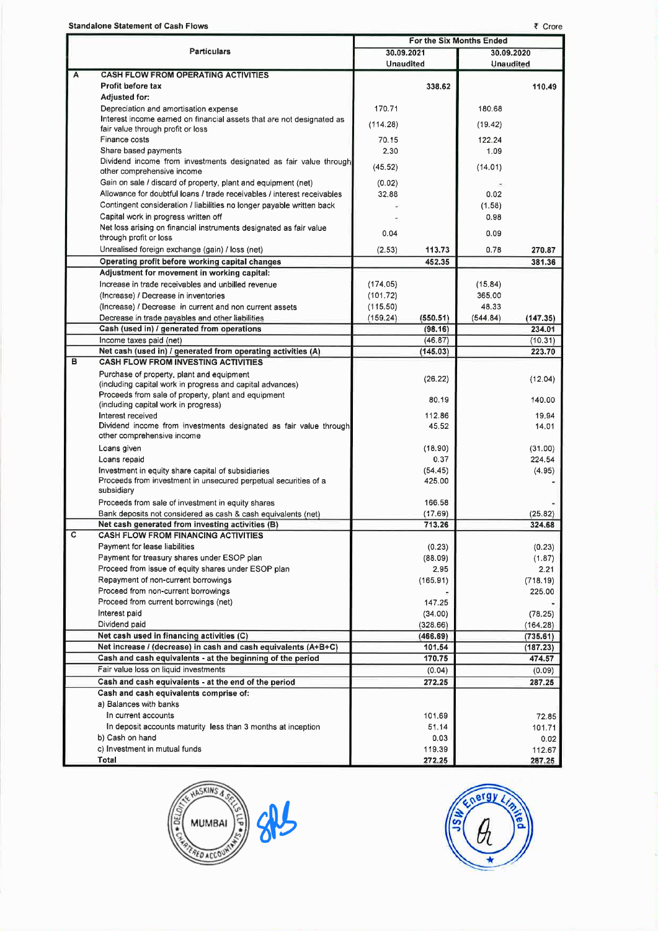**Standalone Statement of Cash Flows** 

|   |                                                                                                                   |                  |                   | For the Six Months Ended |                   |
|---|-------------------------------------------------------------------------------------------------------------------|------------------|-------------------|--------------------------|-------------------|
|   | <b>Particulars</b>                                                                                                | 30.09.2021       |                   | 30.09.2020               |                   |
|   |                                                                                                                   | <b>Unaudited</b> |                   | <b>Unaudited</b>         |                   |
| A | <b>CASH FLOW FROM OPERATING ACTIVITIES</b>                                                                        |                  |                   |                          |                   |
|   | <b>Profit before tax</b>                                                                                          |                  | 338.62            |                          | 110.49            |
|   | <b>Adjusted for:</b>                                                                                              |                  |                   |                          |                   |
|   | Depreciation and amortisation expense<br>Interest income earned on financial assets that are not designated as    | 170.71           |                   | 180.68                   |                   |
|   | fair value through profit or loss                                                                                 | (114.28)         |                   | (19.42)                  |                   |
|   | Finance costs                                                                                                     | 70.15            |                   | 122.24                   |                   |
|   | Share based payments                                                                                              | 2.30             |                   | 1.09                     |                   |
|   | Dividend income from investments designated as fair value through<br>other comprehensive income                   | (45.52)          |                   | (14.01)                  |                   |
|   | Gain on sale / discard of property, plant and equipment (net)                                                     | (0.02)           |                   |                          |                   |
|   | Allowance for doubtful loans / trade receivables / interest receivables                                           | 32.88            |                   | 0.02                     |                   |
|   | Contingent consideration / liabilities no longer payable written back                                             |                  |                   | (1.58)                   |                   |
|   | Capital work in progress written off                                                                              |                  |                   | 0.98                     |                   |
|   | Net loss arising on financial instruments designated as fair value                                                | 0.04             |                   | 0.09                     |                   |
|   | through profit or loss                                                                                            |                  |                   |                          |                   |
|   | Unrealised foreign exchange (gain) / loss (net)                                                                   | (2.53)           | 113.73            | 0.78                     | 270.87            |
|   | Operating profit before working capital changes<br>Adjustment for movement in working capital:                    |                  | 452.35            |                          | 381.36            |
|   | Increase in trade receivables and unbilled revenue                                                                | (174.05)         |                   | (15.84)                  |                   |
|   | (Increase) / Decrease in inventories                                                                              | (101.72)         |                   | 365.00                   |                   |
|   | (Increase) / Decrease in current and non current assets                                                           | (115.50)         |                   | 48.33                    |                   |
|   | Decrease in trade payables and other liabilities                                                                  | (159.24)         | (550.51)          | (544.84)                 | (147.35)          |
|   | Cash (used in) / generated from operations                                                                        |                  | (98, 16)          |                          | 234.01            |
|   | Income taxes paid (net)                                                                                           |                  | (46.87)           |                          | (10.31)           |
|   | Net cash (used in) / generated from operating activities (A)                                                      |                  | (145.03)          |                          | 223.70            |
| в | <b>CASH FLOW FROM INVESTING ACTIVITIES</b>                                                                        |                  |                   |                          |                   |
|   | Purchase of property, plant and equipment                                                                         |                  | (26.22)           |                          | (12.04)           |
|   | (including capital work in progress and capital advances)                                                         |                  |                   |                          |                   |
|   | Proceeds from sale of property, plant and equipment<br>(including capital work in progress)                       |                  | 80.19             |                          | 140.00            |
|   | Interest received                                                                                                 |                  | 112.86            |                          | 19.94             |
|   | Dividend income from investments designated as fair value through                                                 |                  | 45.52             |                          | 14.01             |
|   | other comprehensive income                                                                                        |                  |                   |                          |                   |
|   | Loans given                                                                                                       |                  | (18.90)           |                          | (31.00)           |
|   | Loans repaid                                                                                                      |                  | 0.37              |                          | 224.54            |
|   | Investment in equity share capital of subsidiaries                                                                |                  | (54.45)           |                          | (4.95)            |
|   | Proceeds from investment in unsecured perpetual securities of a                                                   |                  | 425.00            |                          |                   |
|   | subsidiary                                                                                                        |                  |                   |                          |                   |
|   | Proceeds from sale of investment in equity shares                                                                 |                  | 166.58            |                          |                   |
|   | Bank deposits not considered as cash & cash equivalents (net)<br>Net cash generated from investing activities (B) |                  | (17.69)<br>713.26 |                          | (25.82)<br>324.68 |
| с | <b>CASH FLOW FROM FINANCING ACTIVITIES</b>                                                                        |                  |                   |                          |                   |
|   | Payment for lease liabilities                                                                                     |                  | (0.23)            |                          | (0.23)            |
|   | Payment for treasury shares under ESOP plan                                                                       |                  | (88.09)           |                          | (1.87)            |
|   | Proceed from issue of equity shares under ESOP plan                                                               |                  | 2.95              |                          | 2.21              |
|   | Repayment of non-current borrowings                                                                               |                  | (165.91)          |                          | (718.19)          |
|   | Proceed from non-current borrowings                                                                               |                  |                   |                          | 225.00            |
|   | Proceed from current borrowings (net)                                                                             |                  | 147.25            |                          |                   |
|   | Interest paid                                                                                                     |                  | (34.00)           |                          | (78.25)           |
|   | Dividend paid                                                                                                     |                  | (328.66)          |                          | (164.28)          |
|   | Net cash used in financing activities (C)                                                                         |                  | (466.69)          |                          | (735.61)          |
|   | Net increase / (decrease) in cash and cash equivalents (A+B+C)                                                    |                  | 101.54            |                          | (187.23)          |
|   | Cash and cash equivalents - at the beginning of the period                                                        |                  | 170.75            |                          | 474.57            |
|   | Fair value loss on liquid investments                                                                             |                  | (0.04)            |                          | (0.09)            |
|   | Cash and cash equivalents - at the end of the period                                                              |                  | 272.25            |                          | 287.25            |
|   | Cash and cash equivalents comprise of:<br>a) Balances with banks                                                  |                  |                   |                          |                   |
|   | In current accounts                                                                                               |                  | 101.69            |                          |                   |
|   | In deposit accounts maturity less than 3 months at inception                                                      |                  | 51.14             |                          | 72.85<br>101.71   |
|   | b) Cash on hand                                                                                                   |                  | 0.03              |                          | 0.02              |
|   | c) Investment in mutual funds                                                                                     |                  | 119.39            |                          | 112.67            |
|   | Total                                                                                                             |                  | 272.25            |                          | 287.25            |



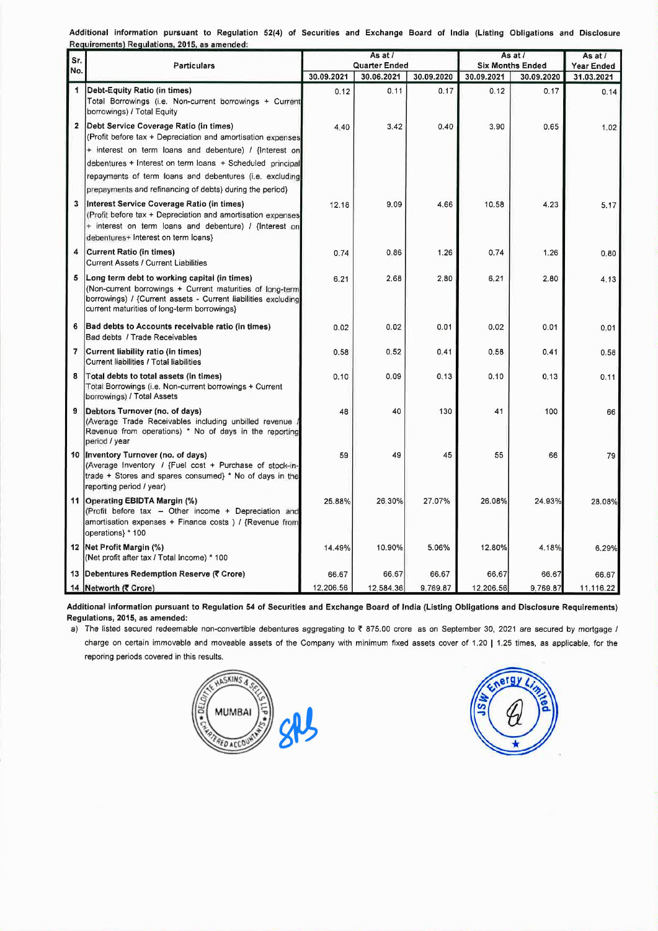Additional information pursuant to Regulation 52(4) of Securities and Exchange Board of India (Listing Obligations and Disclosure Beguiremente) Beguiletiene, 2015, se amended

|                      | Requirements) Regulations, 2015, as amended:                                                                                                                                                                                                                                                                                                        | As at /       |            |            | As at /                 |            | As at /    |
|----------------------|-----------------------------------------------------------------------------------------------------------------------------------------------------------------------------------------------------------------------------------------------------------------------------------------------------------------------------------------------------|---------------|------------|------------|-------------------------|------------|------------|
| Sr.<br>No.           | <b>Particulars</b>                                                                                                                                                                                                                                                                                                                                  | Quarter Ended |            |            | <b>Six Months Ended</b> |            | Year Ended |
|                      |                                                                                                                                                                                                                                                                                                                                                     | 30.09.2021    | 30.06.2021 | 30.09.2020 | 30.09.2021              | 30.09.2020 | 31.03.2021 |
| $\blacktriangleleft$ | Debt-Equity Ratio (in times)<br>Total Borrowings (i.e. Non-current borrowings + Current<br>borrowings) / Total Equity                                                                                                                                                                                                                               | 0.12          | 0.11       | 0.17       | 0.12                    | 0.17       | 0.14       |
|                      | Debt Service Coverage Ratio (in times)<br>(Profit before tax + Depreciation and amortisation expenses<br>+ interest on term loans and debenture) / {Interest on<br>debentures + Interest on term loans + Scheduled principal<br>repayments of term loans and debentures (i.e. excluding<br>prepayments and refinancing of debts) during the period} | 4.40          | 3.42       | 0.40       | 3.90                    | 0.65       | 1.02       |
| 3                    | Interest Service Coverage Ratio (in times)<br>(Profit before tax + Depreciation and amortisation expenses<br>+ interest on term loans and debenture) / {Interest on<br>debentures+ Interest on term loans}                                                                                                                                          | 12.18         | 9.09       | 4.66       | 10.58                   | 4.23       | 5.17       |
| 4                    | <b>Current Ratio (in times)</b><br><b>Current Assets / Current Liabilities</b>                                                                                                                                                                                                                                                                      | 0.74          | 0.86       | 1.26       | 0.74                    | 1,26       | 0.80       |
| 5                    | Long term debt to working capital (in times)<br>(Non-current borrowings + Current maturities of long-term<br>(borrowings) / {Current assets - Current liabilities excluding<br>current maturities of long-term borrowings}                                                                                                                          | 6.21          | 2.68       | 2.80       | 6.21                    | 2.80       | 4.13       |
| 6                    | Bad debts to Accounts receivable ratio (in times)<br>Bad debts / Trade Receivables                                                                                                                                                                                                                                                                  | 0.02          | 0.02       | 0.01       | 0.02                    | 0.01       | 0.01       |
| 7                    | Current liability ratio (in times)<br>Current liabilities / Total liabilities                                                                                                                                                                                                                                                                       | 0.58          | 0,52       | 0.41       | 0.58                    | 0.41       | 0.58       |
| 8                    | Total debts to total assets (in times)<br>Total Borrowings (i.e. Non-current borrowings + Current<br>borrowings) / Total Assets                                                                                                                                                                                                                     | 0.10          | 0.09       | 0.13       | 0.10                    | 0.13       | 0.11       |
| 9                    | Debtors Turnover (no. of days)<br>(Average Trade Receivables including unbilled revenue<br>Revenue from operations) * No of days in the reporting<br>period / year                                                                                                                                                                                  | 48            | 40         | 130        | 41                      | 100        | 66         |
| 10                   | Inventory Turnover (no. of days)<br>(Average Inventory / {Fuel cost + Purchase of stock-in-<br>trade + Stores and spares consumed} * No of days in the<br>reporting period / year)                                                                                                                                                                  | 59            | 49         | 45         | 55                      | 66         | 79         |
| 11                   | Operating EBIDTA Margin (%)<br>(Profit before tax - Other income + Depreciation and<br>amortisation expenses + Finance costs ) / {Revenue from<br>operations} * 100                                                                                                                                                                                 | 25.88%        | 26.30%     | 27.07%     | 26.08%                  | 24.93%     | 28.08%     |
|                      | 12 Net Profit Margin (%)<br>(Net profit after tax / Total Income) * 100                                                                                                                                                                                                                                                                             | 14.49%        | 10.90%     | 5.06%      | 12.80%                  | 4.18%      | 6.29%      |
|                      | 13 Debentures Redemption Reserve (₹ Crore)                                                                                                                                                                                                                                                                                                          | 66.67         | 66.67      | 66.67      | 66.67                   | 66.67      | 66.67      |
|                      | 14 Networth (₹ Crore)                                                                                                                                                                                                                                                                                                                               | 12.206.56     | 12.584.36  | 9.769.87   | 12.206.56               | 9.769.87   | 11.116.22  |

Additional information pursuant to Regulation 54 of Securities and Exchange Board of India (Listing Obligations and Disclosure Requirements) Regulations, 2015, as amended:

a) The listed secured redeemable non-convertible debentures aggregating to ₹ 875.00 crore as on September 30, 2021 are secured by mortgage / charge on certain immovable and moveable assets of the Company with minimum fixed assets cover of 1.20 | 1.25 times, as applicable, for the reporing periods covered in this results.